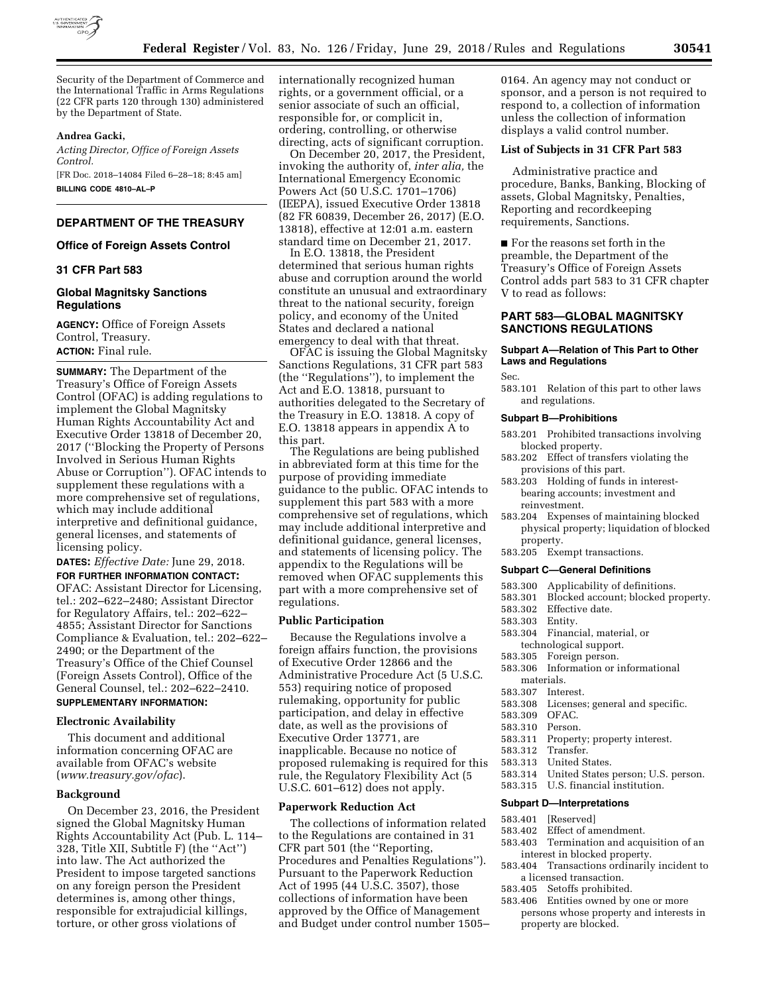

Security of the Department of Commerce and the International Traffic in Arms Regulations (22 CFR parts 120 through 130) administered by the Department of State.

# **Andrea Gacki,**

*Acting Director, Office of Foreign Assets Control.*  [FR Doc. 2018–14084 Filed 6–28–18; 8:45 am] **BILLING CODE 4810–AL–P** 

# **DEPARTMENT OF THE TREASURY**

## **Office of Foreign Assets Control**

## **31 CFR Part 583**

## **Global Magnitsky Sanctions Regulations**

**AGENCY:** Office of Foreign Assets Control, Treasury. **ACTION:** Final rule.

**SUMMARY:** The Department of the Treasury's Office of Foreign Assets Control (OFAC) is adding regulations to implement the Global Magnitsky Human Rights Accountability Act and Executive Order 13818 of December 20, 2017 (''Blocking the Property of Persons Involved in Serious Human Rights Abuse or Corruption''). OFAC intends to supplement these regulations with a more comprehensive set of regulations, which may include additional interpretive and definitional guidance, general licenses, and statements of licensing policy.

**DATES:** *Effective Date:* June 29, 2018. **FOR FURTHER INFORMATION CONTACT:**  OFAC: Assistant Director for Licensing, tel.: 202–622–2480; Assistant Director for Regulatory Affairs, tel.: 202–622– 4855; Assistant Director for Sanctions Compliance & Evaluation, tel.: 202–622– 2490; or the Department of the Treasury's Office of the Chief Counsel (Foreign Assets Control), Office of the General Counsel, tel.: 202–622–2410. **SUPPLEMENTARY INFORMATION:** 

# **Electronic Availability**

This document and additional information concerning OFAC are available from OFAC's website (*www.treasury.gov/ofac*).

#### **Background**

On December 23, 2016, the President signed the Global Magnitsky Human Rights Accountability Act (Pub. L. 114– 328, Title XII, Subtitle F) (the ''Act'') into law. The Act authorized the President to impose targeted sanctions on any foreign person the President determines is, among other things, responsible for extrajudicial killings, torture, or other gross violations of

internationally recognized human rights, or a government official, or a senior associate of such an official, responsible for, or complicit in, ordering, controlling, or otherwise directing, acts of significant corruption.

On December 20, 2017, the President, invoking the authority of, *inter alia,* the International Emergency Economic Powers Act (50 U.S.C. 1701–1706) (IEEPA), issued Executive Order 13818 (82 FR 60839, December 26, 2017) (E.O. 13818), effective at 12:01 a.m. eastern standard time on December 21, 2017.

In E.O. 13818, the President determined that serious human rights abuse and corruption around the world constitute an unusual and extraordinary threat to the national security, foreign policy, and economy of the United States and declared a national emergency to deal with that threat.

OFAC is issuing the Global Magnitsky Sanctions Regulations, 31 CFR part 583 (the ''Regulations''), to implement the Act and E.O. 13818, pursuant to authorities delegated to the Secretary of the Treasury in E.O. 13818. A copy of E.O. 13818 appears in appendix A to this part.

The Regulations are being published in abbreviated form at this time for the purpose of providing immediate guidance to the public. OFAC intends to supplement this part 583 with a more comprehensive set of regulations, which may include additional interpretive and definitional guidance, general licenses, and statements of licensing policy. The appendix to the Regulations will be removed when OFAC supplements this part with a more comprehensive set of regulations.

#### **Public Participation**

Because the Regulations involve a foreign affairs function, the provisions of Executive Order 12866 and the Administrative Procedure Act (5 U.S.C. 553) requiring notice of proposed rulemaking, opportunity for public participation, and delay in effective date, as well as the provisions of Executive Order 13771, are inapplicable. Because no notice of proposed rulemaking is required for this rule, the Regulatory Flexibility Act (5 U.S.C. 601–612) does not apply.

#### **Paperwork Reduction Act**

The collections of information related to the Regulations are contained in 31 CFR part 501 (the ''Reporting, Procedures and Penalties Regulations''). Pursuant to the Paperwork Reduction Act of 1995 (44 U.S.C. 3507), those collections of information have been approved by the Office of Management and Budget under control number 1505– 0164. An agency may not conduct or sponsor, and a person is not required to respond to, a collection of information unless the collection of information displays a valid control number.

## **List of Subjects in 31 CFR Part 583**

Administrative practice and procedure, Banks, Banking, Blocking of assets, Global Magnitsky, Penalties, Reporting and recordkeeping requirements, Sanctions.

■ For the reasons set forth in the preamble, the Department of the Treasury's Office of Foreign Assets Control adds part 583 to 31 CFR chapter V to read as follows:

# **PART 583—GLOBAL MAGNITSKY SANCTIONS REGULATIONS**

## **Subpart A—Relation of This Part to Other Laws and Regulations**

Sec.

583.101 Relation of this part to other laws and regulations.

#### **Subpart B—Prohibitions**

- 583.201 Prohibited transactions involving blocked property.
- 583.202 Effect of transfers violating the provisions of this part.
- 583.203 Holding of funds in interestbearing accounts; investment and reinvestment.
- 583.204 Expenses of maintaining blocked physical property; liquidation of blocked property.
- 583.205 Exempt transactions.

#### **Subpart C—General Definitions**

- 583.300 Applicability of definitions.
- 583.301 Blocked account; blocked property.
- 583.302 Effective date.
- 583.303 Entity.
- 583.304 Financial, material, or
- technological support.<br>583.305 Foreign person.
- Foreign person.
- 583.306 Information or informational materials.
- 583.307 Interest.
- 583.308 Licenses; general and specific.
- 583.309 OFAC.
- 583.310 Person.
- 583.311 Property; property interest.
- 583.312 Transfer.
- 583.313 United States.
- 583.314 United States person; U.S. person.
- 583.315 U.S. financial institution.

#### **Subpart D—Interpretations**

- 583.401 [Reserved]
- 583.402 Effect of amendment.
- 583.403 Termination and acquisition of an interest in blocked property.
- 583.404 Transactions ordinarily incident to a licensed transaction.
- 583.405 Setoffs prohibited.
- 583.406 Entities owned by one or more persons whose property and interests in property are blocked.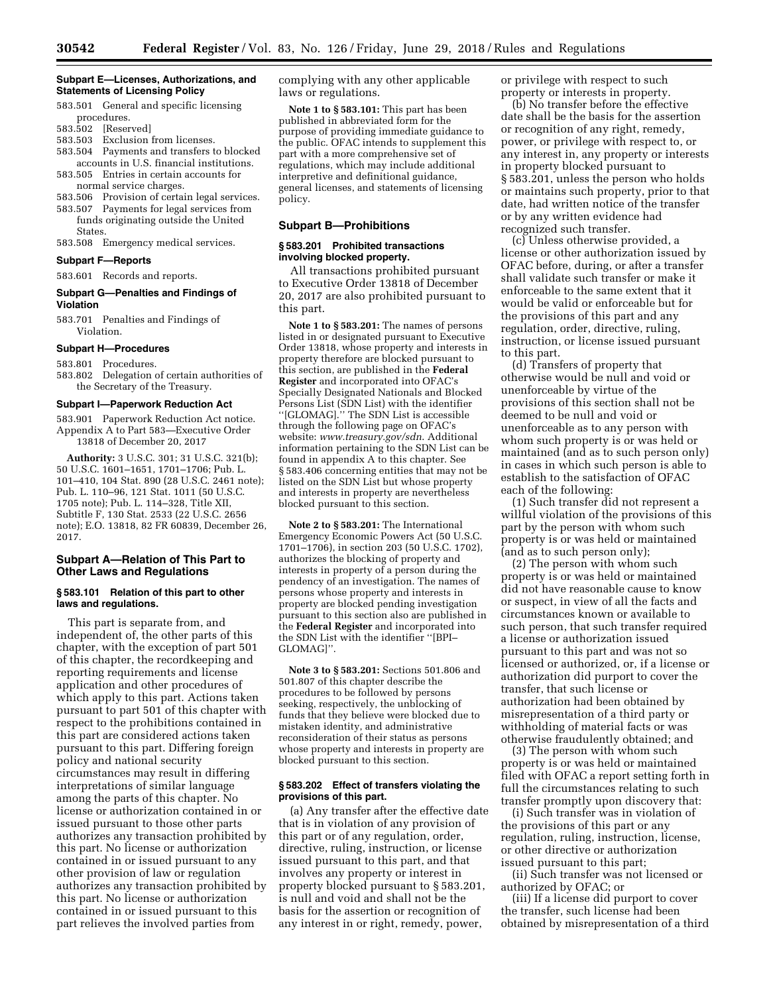## **Subpart E—Licenses, Authorizations, and Statements of Licensing Policy**

- 583.501 General and specific licensing procedures.
- 583.502 [Reserved]
- 583.503 Exclusion from licenses.
- 583.504 Payments and transfers to blocked accounts in U.S. financial institutions.
- 583.505 Entries in certain accounts for normal service charges.
- 583.506 Provision of certain legal services.
- 583.507 Payments for legal services from funds originating outside the United States.
- 583.508 Emergency medical services. **Subpart F—Reports**

583.601 Records and reports.

## **Subpart G—Penalties and Findings of Violation**

583.701 Penalties and Findings of Violation.

#### **Subpart H—Procedures**

583.801 Procedures.

583.802 Delegation of certain authorities of the Secretary of the Treasury.

#### **Subpart I—Paperwork Reduction Act**

583.901 Paperwork Reduction Act notice. Appendix A to Part 583—Executive Order 13818 of December 20, 2017

**Authority:** 3 U.S.C. 301; 31 U.S.C. 321(b); 50 U.S.C. 1601–1651, 1701–1706; Pub. L. 101–410, 104 Stat. 890 (28 U.S.C. 2461 note); Pub. L. 110–96, 121 Stat. 1011 (50 U.S.C. 1705 note); Pub. L. 114–328, Title XII, Subtitle F, 130 Stat. 2533 (22 U.S.C. 2656 note); E.O. 13818, 82 FR 60839, December 26, 2017.

# **Subpart A—Relation of This Part to Other Laws and Regulations**

#### **§ 583.101 Relation of this part to other laws and regulations.**

This part is separate from, and independent of, the other parts of this chapter, with the exception of part 501 of this chapter, the recordkeeping and reporting requirements and license application and other procedures of which apply to this part. Actions taken pursuant to part 501 of this chapter with respect to the prohibitions contained in this part are considered actions taken pursuant to this part. Differing foreign policy and national security circumstances may result in differing interpretations of similar language among the parts of this chapter. No license or authorization contained in or issued pursuant to those other parts authorizes any transaction prohibited by this part. No license or authorization contained in or issued pursuant to any other provision of law or regulation authorizes any transaction prohibited by this part. No license or authorization contained in or issued pursuant to this part relieves the involved parties from

complying with any other applicable laws or regulations.

**Note 1 to § 583.101:** This part has been published in abbreviated form for the purpose of providing immediate guidance to the public. OFAC intends to supplement this part with a more comprehensive set of regulations, which may include additional interpretive and definitional guidance, general licenses, and statements of licensing policy.

# **Subpart B—Prohibitions**

### **§ 583.201 Prohibited transactions involving blocked property.**

All transactions prohibited pursuant to Executive Order 13818 of December 20, 2017 are also prohibited pursuant to this part.

**Note 1 to § 583.201:** The names of persons listed in or designated pursuant to Executive Order 13818, whose property and interests in property therefore are blocked pursuant to this section, are published in the **Federal Register** and incorporated into OFAC's Specially Designated Nationals and Blocked Persons List (SDN List) with the identifier ''[GLOMAG].'' The SDN List is accessible through the following page on OFAC's website: *www.treasury.gov/sdn*. Additional information pertaining to the SDN List can be found in appendix A to this chapter. See § 583.406 concerning entities that may not be listed on the SDN List but whose property and interests in property are nevertheless blocked pursuant to this section.

**Note 2 to § 583.201:** The International Emergency Economic Powers Act (50 U.S.C. 1701–1706), in section 203 (50 U.S.C. 1702), authorizes the blocking of property and interests in property of a person during the pendency of an investigation. The names of persons whose property and interests in property are blocked pending investigation pursuant to this section also are published in the **Federal Register** and incorporated into the SDN List with the identifier ''[BPI– GLOMAG]''.

**Note 3 to § 583.201:** Sections 501.806 and 501.807 of this chapter describe the procedures to be followed by persons seeking, respectively, the unblocking of funds that they believe were blocked due to mistaken identity, and administrative reconsideration of their status as persons whose property and interests in property are blocked pursuant to this section.

#### **§ 583.202 Effect of transfers violating the provisions of this part.**

(a) Any transfer after the effective date that is in violation of any provision of this part or of any regulation, order, directive, ruling, instruction, or license issued pursuant to this part, and that involves any property or interest in property blocked pursuant to § 583.201, is null and void and shall not be the basis for the assertion or recognition of any interest in or right, remedy, power,

or privilege with respect to such property or interests in property.

(b) No transfer before the effective date shall be the basis for the assertion or recognition of any right, remedy, power, or privilege with respect to, or any interest in, any property or interests in property blocked pursuant to § 583.201, unless the person who holds or maintains such property, prior to that date, had written notice of the transfer or by any written evidence had recognized such transfer.

(c) Unless otherwise provided, a license or other authorization issued by OFAC before, during, or after a transfer shall validate such transfer or make it enforceable to the same extent that it would be valid or enforceable but for the provisions of this part and any regulation, order, directive, ruling, instruction, or license issued pursuant to this part.

(d) Transfers of property that otherwise would be null and void or unenforceable by virtue of the provisions of this section shall not be deemed to be null and void or unenforceable as to any person with whom such property is or was held or maintained (and as to such person only) in cases in which such person is able to establish to the satisfaction of OFAC each of the following:

(1) Such transfer did not represent a willful violation of the provisions of this part by the person with whom such property is or was held or maintained (and as to such person only);

(2) The person with whom such property is or was held or maintained did not have reasonable cause to know or suspect, in view of all the facts and circumstances known or available to such person, that such transfer required a license or authorization issued pursuant to this part and was not so licensed or authorized, or, if a license or authorization did purport to cover the transfer, that such license or authorization had been obtained by misrepresentation of a third party or withholding of material facts or was otherwise fraudulently obtained; and

(3) The person with whom such property is or was held or maintained filed with OFAC a report setting forth in full the circumstances relating to such transfer promptly upon discovery that:

(i) Such transfer was in violation of the provisions of this part or any regulation, ruling, instruction, license, or other directive or authorization issued pursuant to this part;

(ii) Such transfer was not licensed or authorized by OFAC; or

(iii) If a license did purport to cover the transfer, such license had been obtained by misrepresentation of a third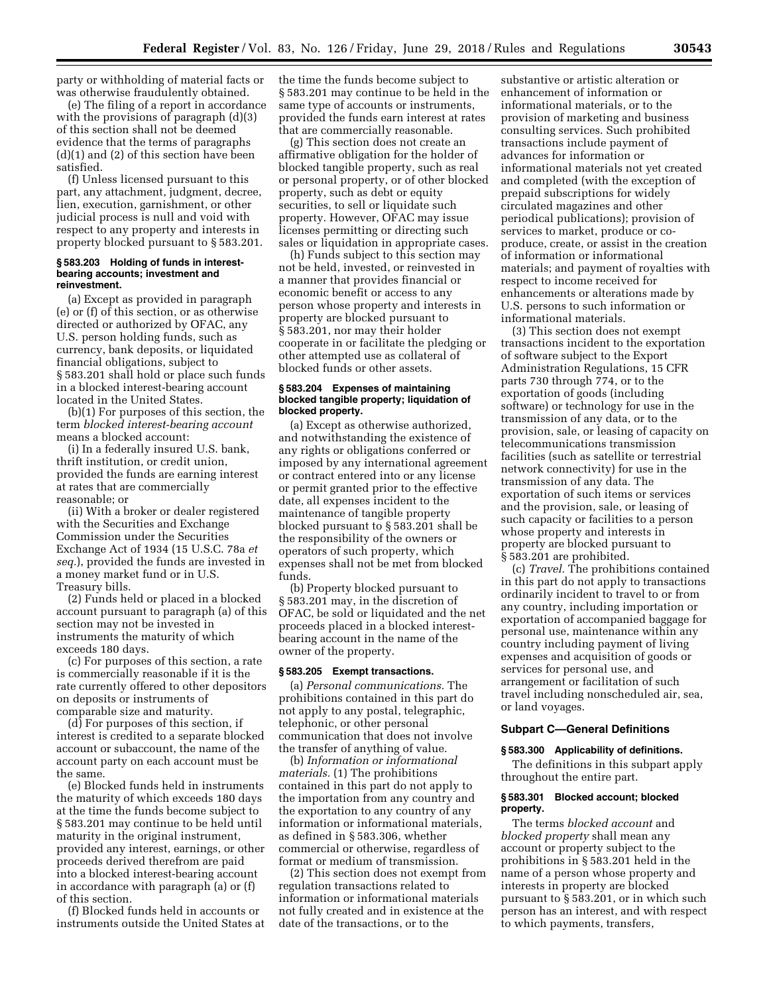party or withholding of material facts or was otherwise fraudulently obtained.

(e) The filing of a report in accordance with the provisions of paragraph (d)(3) of this section shall not be deemed evidence that the terms of paragraphs (d)(1) and (2) of this section have been satisfied.

(f) Unless licensed pursuant to this part, any attachment, judgment, decree, lien, execution, garnishment, or other judicial process is null and void with respect to any property and interests in property blocked pursuant to § 583.201.

#### **§ 583.203 Holding of funds in interestbearing accounts; investment and reinvestment.**

(a) Except as provided in paragraph (e) or (f) of this section, or as otherwise directed or authorized by OFAC, any U.S. person holding funds, such as currency, bank deposits, or liquidated financial obligations, subject to § 583.201 shall hold or place such funds in a blocked interest-bearing account located in the United States.

(b)(1) For purposes of this section, the term *blocked interest-bearing account*  means a blocked account:

(i) In a federally insured U.S. bank, thrift institution, or credit union, provided the funds are earning interest at rates that are commercially reasonable; or

(ii) With a broker or dealer registered with the Securities and Exchange Commission under the Securities Exchange Act of 1934 (15 U.S.C. 78a *et seq.*), provided the funds are invested in a money market fund or in U.S. Treasury bills.

(2) Funds held or placed in a blocked account pursuant to paragraph (a) of this section may not be invested in instruments the maturity of which exceeds 180 days.

(c) For purposes of this section, a rate is commercially reasonable if it is the rate currently offered to other depositors on deposits or instruments of comparable size and maturity.

(d) For purposes of this section, if interest is credited to a separate blocked account or subaccount, the name of the account party on each account must be the same.

(e) Blocked funds held in instruments the maturity of which exceeds 180 days at the time the funds become subject to § 583.201 may continue to be held until maturity in the original instrument, provided any interest, earnings, or other proceeds derived therefrom are paid into a blocked interest-bearing account in accordance with paragraph (a) or (f) of this section.

(f) Blocked funds held in accounts or instruments outside the United States at the time the funds become subject to § 583.201 may continue to be held in the same type of accounts or instruments, provided the funds earn interest at rates that are commercially reasonable.

(g) This section does not create an affirmative obligation for the holder of blocked tangible property, such as real or personal property, or of other blocked property, such as debt or equity securities, to sell or liquidate such property. However, OFAC may issue licenses permitting or directing such sales or liquidation in appropriate cases.

(h) Funds subject to this section may not be held, invested, or reinvested in a manner that provides financial or economic benefit or access to any person whose property and interests in property are blocked pursuant to § 583.201, nor may their holder cooperate in or facilitate the pledging or other attempted use as collateral of blocked funds or other assets.

## **§ 583.204 Expenses of maintaining blocked tangible property; liquidation of blocked property.**

(a) Except as otherwise authorized, and notwithstanding the existence of any rights or obligations conferred or imposed by any international agreement or contract entered into or any license or permit granted prior to the effective date, all expenses incident to the maintenance of tangible property blocked pursuant to § 583.201 shall be the responsibility of the owners or operators of such property, which expenses shall not be met from blocked funds.

(b) Property blocked pursuant to § 583.201 may, in the discretion of OFAC, be sold or liquidated and the net proceeds placed in a blocked interestbearing account in the name of the owner of the property.

#### **§ 583.205 Exempt transactions.**

(a) *Personal communications.* The prohibitions contained in this part do not apply to any postal, telegraphic, telephonic, or other personal communication that does not involve the transfer of anything of value.

(b) *Information or informational materials.* (1) The prohibitions contained in this part do not apply to the importation from any country and the exportation to any country of any information or informational materials, as defined in § 583.306, whether commercial or otherwise, regardless of format or medium of transmission.

(2) This section does not exempt from regulation transactions related to information or informational materials not fully created and in existence at the date of the transactions, or to the

substantive or artistic alteration or enhancement of information or informational materials, or to the provision of marketing and business consulting services. Such prohibited transactions include payment of advances for information or informational materials not yet created and completed (with the exception of prepaid subscriptions for widely circulated magazines and other periodical publications); provision of services to market, produce or coproduce, create, or assist in the creation of information or informational materials; and payment of royalties with respect to income received for enhancements or alterations made by U.S. persons to such information or informational materials.

(3) This section does not exempt transactions incident to the exportation of software subject to the Export Administration Regulations, 15 CFR parts 730 through 774, or to the exportation of goods (including software) or technology for use in the transmission of any data, or to the provision, sale, or leasing of capacity on telecommunications transmission facilities (such as satellite or terrestrial network connectivity) for use in the transmission of any data. The exportation of such items or services and the provision, sale, or leasing of such capacity or facilities to a person whose property and interests in property are blocked pursuant to § 583.201 are prohibited.

(c) *Travel.* The prohibitions contained in this part do not apply to transactions ordinarily incident to travel to or from any country, including importation or exportation of accompanied baggage for personal use, maintenance within any country including payment of living expenses and acquisition of goods or services for personal use, and arrangement or facilitation of such travel including nonscheduled air, sea, or land voyages.

# **Subpart C—General Definitions**

#### **§ 583.300 Applicability of definitions.**

The definitions in this subpart apply throughout the entire part.

#### **§ 583.301 Blocked account; blocked property.**

The terms *blocked account* and *blocked property* shall mean any account or property subject to the prohibitions in § 583.201 held in the name of a person whose property and interests in property are blocked pursuant to § 583.201, or in which such person has an interest, and with respect to which payments, transfers,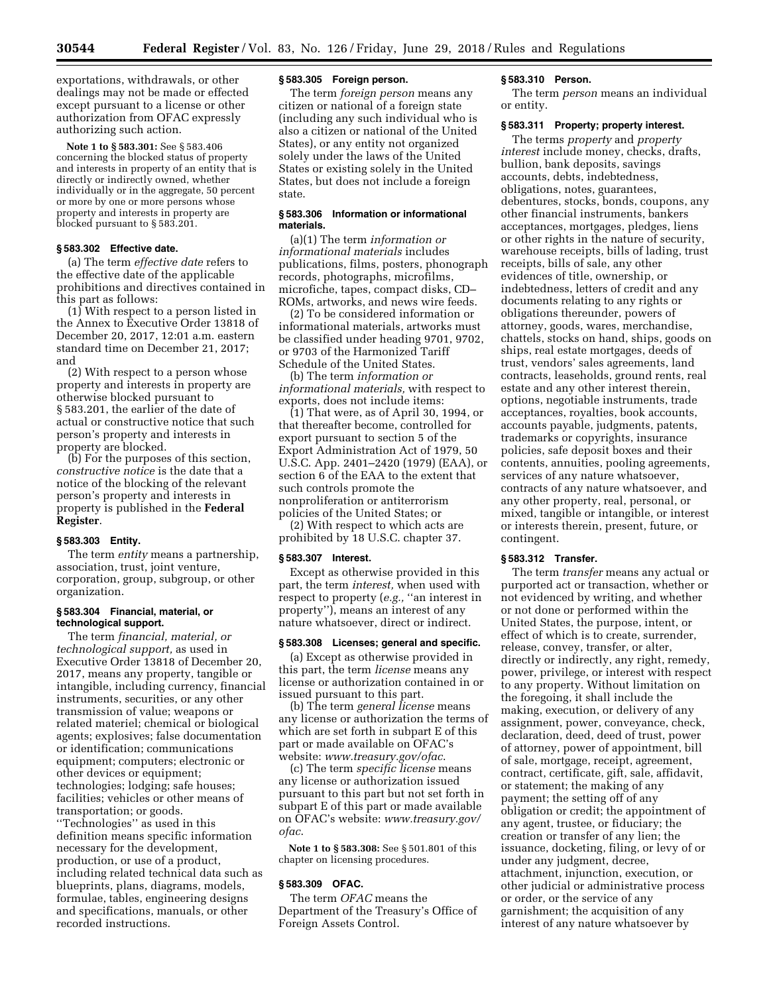exportations, withdrawals, or other dealings may not be made or effected except pursuant to a license or other authorization from OFAC expressly authorizing such action.

**Note 1 to § 583.301:** See § 583.406 concerning the blocked status of property and interests in property of an entity that is directly or indirectly owned, whether individually or in the aggregate, 50 percent or more by one or more persons whose property and interests in property are blocked pursuant to § 583.201.

## **§ 583.302 Effective date.**

(a) The term *effective date* refers to the effective date of the applicable prohibitions and directives contained in this part as follows:

(1) With respect to a person listed in the Annex to Executive Order 13818 of December 20, 2017, 12:01 a.m. eastern standard time on December 21, 2017; and

(2) With respect to a person whose property and interests in property are otherwise blocked pursuant to § 583.201, the earlier of the date of actual or constructive notice that such person's property and interests in property are blocked.

(b) For the purposes of this section, *constructive notice* is the date that a notice of the blocking of the relevant person's property and interests in property is published in the **Federal Register**.

# **§ 583.303 Entity.**

The term *entity* means a partnership, association, trust, joint venture, corporation, group, subgroup, or other organization.

#### **§ 583.304 Financial, material, or technological support.**

The term *financial, material, or technological support,* as used in Executive Order 13818 of December 20, 2017, means any property, tangible or intangible, including currency, financial instruments, securities, or any other transmission of value; weapons or related materiel; chemical or biological agents; explosives; false documentation or identification; communications equipment; computers; electronic or other devices or equipment; technologies; lodging; safe houses; facilities; vehicles or other means of transportation; or goods. ''Technologies'' as used in this definition means specific information necessary for the development, production, or use of a product, including related technical data such as blueprints, plans, diagrams, models, formulae, tables, engineering designs and specifications, manuals, or other recorded instructions.

#### **§ 583.305 Foreign person.**

The term *foreign person* means any citizen or national of a foreign state (including any such individual who is also a citizen or national of the United States), or any entity not organized solely under the laws of the United States or existing solely in the United States, but does not include a foreign state.

## **§ 583.306 Information or informational materials.**

(a)(1) The term *information or informational materials* includes publications, films, posters, phonograph records, photographs, microfilms, microfiche, tapes, compact disks, CD– ROMs, artworks, and news wire feeds.

(2) To be considered information or informational materials, artworks must be classified under heading 9701, 9702, or 9703 of the Harmonized Tariff Schedule of the United States.

(b) The term *information or informational materials,* with respect to exports, does not include items:

(1) That were, as of April 30, 1994, or that thereafter become, controlled for export pursuant to section 5 of the Export Administration Act of 1979, 50 U.S.C. App. 2401–2420 (1979) (EAA), or section 6 of the EAA to the extent that such controls promote the nonproliferation or antiterrorism policies of the United States; or

(2) With respect to which acts are prohibited by 18 U.S.C. chapter 37.

#### **§ 583.307 Interest.**

Except as otherwise provided in this part, the term *interest,* when used with respect to property (*e.g.,* ''an interest in property''), means an interest of any nature whatsoever, direct or indirect.

## **§ 583.308 Licenses; general and specific.**

(a) Except as otherwise provided in this part, the term *license* means any license or authorization contained in or issued pursuant to this part.

(b) The term *general license* means any license or authorization the terms of which are set forth in subpart E of this part or made available on OFAC's website: *www.treasury.gov/ofac*.

(c) The term *specific license* means any license or authorization issued pursuant to this part but not set forth in subpart E of this part or made available on OFAC's website: *www.treasury.gov/ ofac*.

**Note 1 to § 583.308:** See § 501.801 of this chapter on licensing procedures.

# **§ 583.309 OFAC.**

The term *OFAC* means the Department of the Treasury's Office of Foreign Assets Control.

#### **§ 583.310 Person.**

The term *person* means an individual or entity.

## **§ 583.311 Property; property interest.**

The terms *property* and *property interest* include money, checks, drafts, bullion, bank deposits, savings accounts, debts, indebtedness, obligations, notes, guarantees, debentures, stocks, bonds, coupons, any other financial instruments, bankers acceptances, mortgages, pledges, liens or other rights in the nature of security, warehouse receipts, bills of lading, trust receipts, bills of sale, any other evidences of title, ownership, or indebtedness, letters of credit and any documents relating to any rights or obligations thereunder, powers of attorney, goods, wares, merchandise, chattels, stocks on hand, ships, goods on ships, real estate mortgages, deeds of trust, vendors' sales agreements, land contracts, leaseholds, ground rents, real estate and any other interest therein, options, negotiable instruments, trade acceptances, royalties, book accounts, accounts payable, judgments, patents, trademarks or copyrights, insurance policies, safe deposit boxes and their contents, annuities, pooling agreements, services of any nature whatsoever, contracts of any nature whatsoever, and any other property, real, personal, or mixed, tangible or intangible, or interest or interests therein, present, future, or contingent.

#### **§ 583.312 Transfer.**

The term *transfer* means any actual or purported act or transaction, whether or not evidenced by writing, and whether or not done or performed within the United States, the purpose, intent, or effect of which is to create, surrender, release, convey, transfer, or alter, directly or indirectly, any right, remedy, power, privilege, or interest with respect to any property. Without limitation on the foregoing, it shall include the making, execution, or delivery of any assignment, power, conveyance, check, declaration, deed, deed of trust, power of attorney, power of appointment, bill of sale, mortgage, receipt, agreement, contract, certificate, gift, sale, affidavit, or statement; the making of any payment; the setting off of any obligation or credit; the appointment of any agent, trustee, or fiduciary; the creation or transfer of any lien; the issuance, docketing, filing, or levy of or under any judgment, decree, attachment, injunction, execution, or other judicial or administrative process or order, or the service of any garnishment; the acquisition of any interest of any nature whatsoever by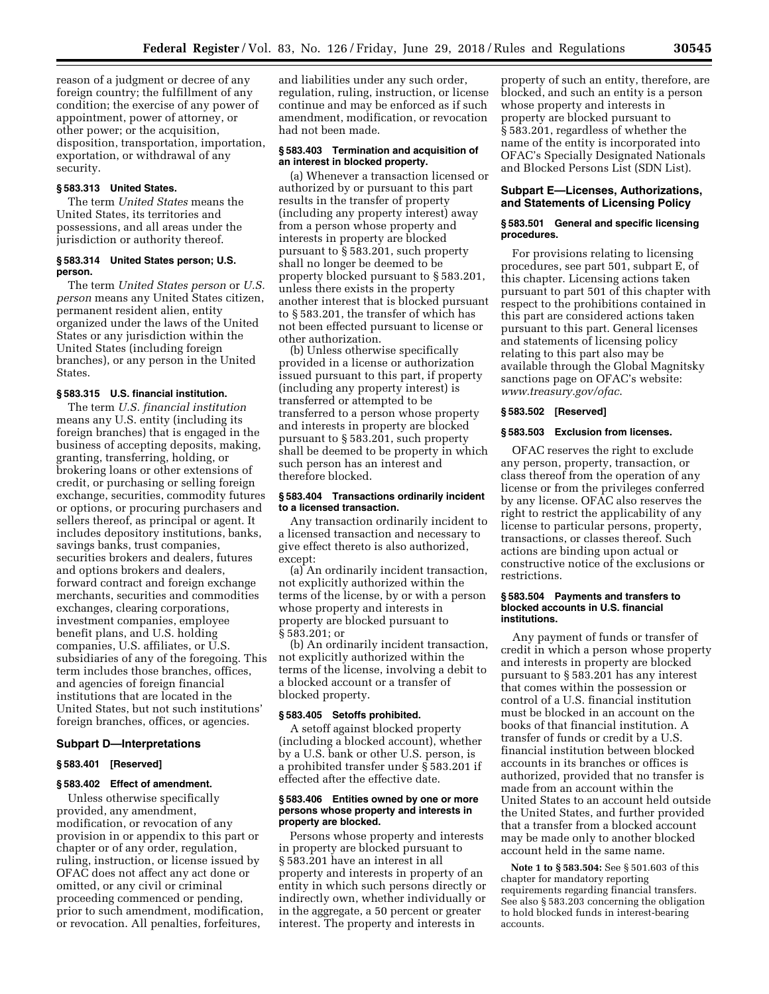reason of a judgment or decree of any foreign country; the fulfillment of any condition; the exercise of any power of appointment, power of attorney, or other power; or the acquisition, disposition, transportation, importation, exportation, or withdrawal of any security.

## **§ 583.313 United States.**

The term *United States* means the United States, its territories and possessions, and all areas under the jurisdiction or authority thereof.

## **§ 583.314 United States person; U.S. person.**

The term *United States person* or *U.S. person* means any United States citizen, permanent resident alien, entity organized under the laws of the United States or any jurisdiction within the United States (including foreign branches), or any person in the United **States** 

## **§ 583.315 U.S. financial institution.**

The term *U.S. financial institution*  means any U.S. entity (including its foreign branches) that is engaged in the business of accepting deposits, making, granting, transferring, holding, or brokering loans or other extensions of credit, or purchasing or selling foreign exchange, securities, commodity futures or options, or procuring purchasers and sellers thereof, as principal or agent. It includes depository institutions, banks, savings banks, trust companies, securities brokers and dealers, futures and options brokers and dealers, forward contract and foreign exchange merchants, securities and commodities exchanges, clearing corporations, investment companies, employee benefit plans, and U.S. holding companies, U.S. affiliates, or U.S. subsidiaries of any of the foregoing. This term includes those branches, offices, and agencies of foreign financial institutions that are located in the United States, but not such institutions' foreign branches, offices, or agencies.

#### **Subpart D—Interpretations**

## **§ 583.401 [Reserved]**

## **§ 583.402 Effect of amendment.**

Unless otherwise specifically provided, any amendment, modification, or revocation of any provision in or appendix to this part or chapter or of any order, regulation, ruling, instruction, or license issued by OFAC does not affect any act done or omitted, or any civil or criminal proceeding commenced or pending, prior to such amendment, modification, or revocation. All penalties, forfeitures,

and liabilities under any such order, regulation, ruling, instruction, or license continue and may be enforced as if such amendment, modification, or revocation had not been made.

## **§ 583.403 Termination and acquisition of an interest in blocked property.**

(a) Whenever a transaction licensed or authorized by or pursuant to this part results in the transfer of property (including any property interest) away from a person whose property and interests in property are blocked pursuant to § 583.201, such property shall no longer be deemed to be property blocked pursuant to § 583.201, unless there exists in the property another interest that is blocked pursuant to § 583.201, the transfer of which has not been effected pursuant to license or other authorization.

(b) Unless otherwise specifically provided in a license or authorization issued pursuant to this part, if property (including any property interest) is transferred or attempted to be transferred to a person whose property and interests in property are blocked pursuant to § 583.201, such property shall be deemed to be property in which such person has an interest and therefore blocked.

## **§ 583.404 Transactions ordinarily incident to a licensed transaction.**

Any transaction ordinarily incident to a licensed transaction and necessary to give effect thereto is also authorized, except:

(a) An ordinarily incident transaction, not explicitly authorized within the terms of the license, by or with a person whose property and interests in property are blocked pursuant to § 583.201; or

(b) An ordinarily incident transaction, not explicitly authorized within the terms of the license, involving a debit to a blocked account or a transfer of blocked property.

## **§ 583.405 Setoffs prohibited.**

A setoff against blocked property (including a blocked account), whether by a U.S. bank or other U.S. person, is a prohibited transfer under § 583.201 if effected after the effective date.

## **§ 583.406 Entities owned by one or more persons whose property and interests in property are blocked.**

Persons whose property and interests in property are blocked pursuant to § 583.201 have an interest in all property and interests in property of an entity in which such persons directly or indirectly own, whether individually or in the aggregate, a 50 percent or greater interest. The property and interests in

property of such an entity, therefore, are blocked, and such an entity is a person whose property and interests in property are blocked pursuant to § 583.201, regardless of whether the name of the entity is incorporated into OFAC's Specially Designated Nationals and Blocked Persons List (SDN List).

## **Subpart E—Licenses, Authorizations, and Statements of Licensing Policy**

# **§ 583.501 General and specific licensing procedures.**

For provisions relating to licensing procedures, see part 501, subpart E, of this chapter. Licensing actions taken pursuant to part 501 of this chapter with respect to the prohibitions contained in this part are considered actions taken pursuant to this part. General licenses and statements of licensing policy relating to this part also may be available through the Global Magnitsky sanctions page on OFAC's website: *www.treasury.gov/ofac*.

# **§ 583.502 [Reserved]**

#### **§ 583.503 Exclusion from licenses.**

OFAC reserves the right to exclude any person, property, transaction, or class thereof from the operation of any license or from the privileges conferred by any license. OFAC also reserves the right to restrict the applicability of any license to particular persons, property, transactions, or classes thereof. Such actions are binding upon actual or constructive notice of the exclusions or restrictions.

#### **§ 583.504 Payments and transfers to blocked accounts in U.S. financial institutions.**

Any payment of funds or transfer of credit in which a person whose property and interests in property are blocked pursuant to § 583.201 has any interest that comes within the possession or control of a U.S. financial institution must be blocked in an account on the books of that financial institution. A transfer of funds or credit by a U.S. financial institution between blocked accounts in its branches or offices is authorized, provided that no transfer is made from an account within the United States to an account held outside the United States, and further provided that a transfer from a blocked account may be made only to another blocked account held in the same name.

**Note 1 to § 583.504:** See § 501.603 of this chapter for mandatory reporting requirements regarding financial transfers. See also § 583.203 concerning the obligation to hold blocked funds in interest-bearing accounts.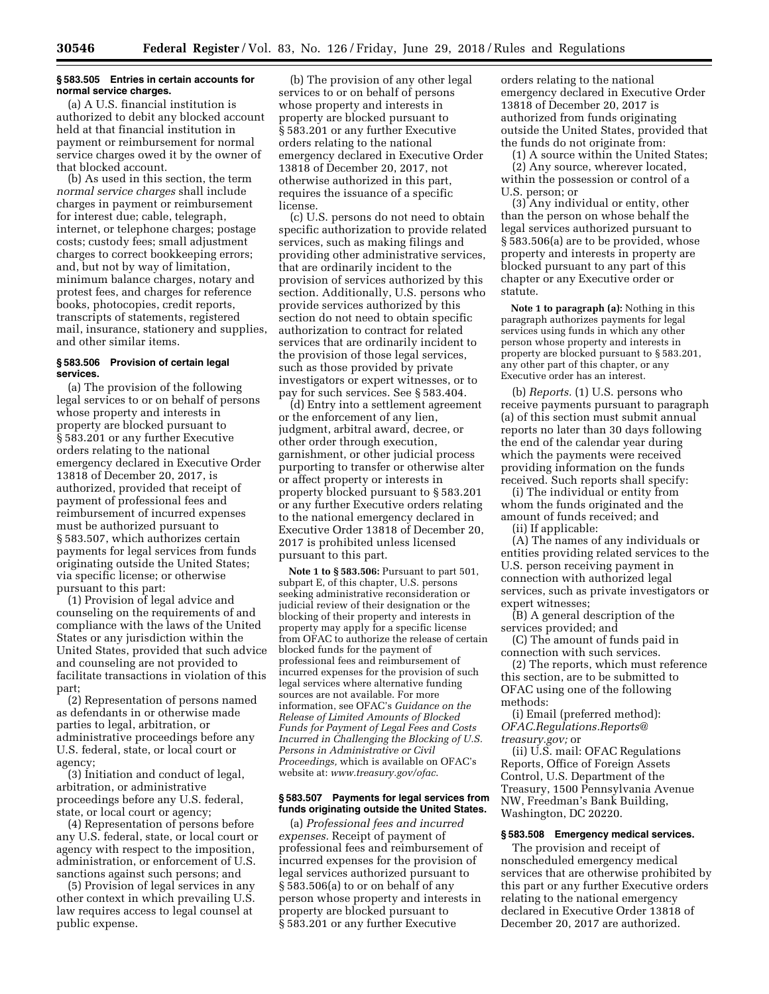#### **§ 583.505 Entries in certain accounts for normal service charges.**

(a) A U.S. financial institution is authorized to debit any blocked account held at that financial institution in payment or reimbursement for normal service charges owed it by the owner of that blocked account.

(b) As used in this section, the term *normal service charges* shall include charges in payment or reimbursement for interest due; cable, telegraph, internet, or telephone charges; postage costs; custody fees; small adjustment charges to correct bookkeeping errors; and, but not by way of limitation, minimum balance charges, notary and protest fees, and charges for reference books, photocopies, credit reports, transcripts of statements, registered mail, insurance, stationery and supplies, and other similar items.

#### **§ 583.506 Provision of certain legal services.**

(a) The provision of the following legal services to or on behalf of persons whose property and interests in property are blocked pursuant to § 583.201 or any further Executive orders relating to the national emergency declared in Executive Order 13818 of December 20, 2017, is authorized, provided that receipt of payment of professional fees and reimbursement of incurred expenses must be authorized pursuant to § 583.507, which authorizes certain payments for legal services from funds originating outside the United States; via specific license; or otherwise pursuant to this part:

(1) Provision of legal advice and counseling on the requirements of and compliance with the laws of the United States or any jurisdiction within the United States, provided that such advice and counseling are not provided to facilitate transactions in violation of this part;

(2) Representation of persons named as defendants in or otherwise made parties to legal, arbitration, or administrative proceedings before any U.S. federal, state, or local court or agency;

(3) Initiation and conduct of legal, arbitration, or administrative proceedings before any U.S. federal, state, or local court or agency;

(4) Representation of persons before any U.S. federal, state, or local court or agency with respect to the imposition, administration, or enforcement of U.S. sanctions against such persons; and

(5) Provision of legal services in any other context in which prevailing U.S. law requires access to legal counsel at public expense.

(b) The provision of any other legal services to or on behalf of persons whose property and interests in property are blocked pursuant to § 583.201 or any further Executive orders relating to the national emergency declared in Executive Order 13818 of December 20, 2017, not otherwise authorized in this part, requires the issuance of a specific license.

(c) U.S. persons do not need to obtain specific authorization to provide related services, such as making filings and providing other administrative services, that are ordinarily incident to the provision of services authorized by this section. Additionally, U.S. persons who provide services authorized by this section do not need to obtain specific authorization to contract for related services that are ordinarily incident to the provision of those legal services, such as those provided by private investigators or expert witnesses, or to pay for such services. See § 583.404.

(d) Entry into a settlement agreement or the enforcement of any lien, judgment, arbitral award, decree, or other order through execution, garnishment, or other judicial process purporting to transfer or otherwise alter or affect property or interests in property blocked pursuant to § 583.201 or any further Executive orders relating to the national emergency declared in Executive Order 13818 of December 20, 2017 is prohibited unless licensed pursuant to this part.

**Note 1 to § 583.506:** Pursuant to part 501, subpart E, of this chapter, U.S. persons seeking administrative reconsideration or judicial review of their designation or the blocking of their property and interests in property may apply for a specific license from OFAC to authorize the release of certain blocked funds for the payment of professional fees and reimbursement of incurred expenses for the provision of such legal services where alternative funding sources are not available. For more information, see OFAC's *Guidance on the Release of Limited Amounts of Blocked Funds for Payment of Legal Fees and Costs Incurred in Challenging the Blocking of U.S. Persons in Administrative or Civil Proceedings,* which is available on OFAC's website at: *www.treasury.gov/ofac*.

#### **§ 583.507 Payments for legal services from funds originating outside the United States.**

(a) *Professional fees and incurred expenses.* Receipt of payment of professional fees and reimbursement of incurred expenses for the provision of legal services authorized pursuant to § 583.506(a) to or on behalf of any person whose property and interests in property are blocked pursuant to § 583.201 or any further Executive

orders relating to the national emergency declared in Executive Order 13818 of December 20, 2017 is authorized from funds originating outside the United States, provided that the funds do not originate from:

(1) A source within the United States; (2) Any source, wherever located, within the possession or control of a U.S. person; or

(3) Any individual or entity, other than the person on whose behalf the legal services authorized pursuant to § 583.506(a) are to be provided, whose property and interests in property are blocked pursuant to any part of this chapter or any Executive order or statute.

**Note 1 to paragraph (a):** Nothing in this paragraph authorizes payments for legal services using funds in which any other person whose property and interests in property are blocked pursuant to § 583.201, any other part of this chapter, or any Executive order has an interest.

(b) *Reports.* (1) U.S. persons who receive payments pursuant to paragraph (a) of this section must submit annual reports no later than 30 days following the end of the calendar year during which the payments were received providing information on the funds received. Such reports shall specify:

(i) The individual or entity from whom the funds originated and the amount of funds received; and

(ii) If applicable:

(A) The names of any individuals or entities providing related services to the U.S. person receiving payment in connection with authorized legal services, such as private investigators or expert witnesses;

(B) A general description of the services provided; and

(C) The amount of funds paid in connection with such services.

(2) The reports, which must reference this section, are to be submitted to OFAC using one of the following methods:

(i) Email (preferred method): *OFAC.Regulations.Reports@ treasury.gov;* or

(ii) U.S. mail: OFAC Regulations Reports, Office of Foreign Assets Control, U.S. Department of the Treasury, 1500 Pennsylvania Avenue NW, Freedman's Bank Building, Washington, DC 20220.

## **§ 583.508 Emergency medical services.**

The provision and receipt of nonscheduled emergency medical services that are otherwise prohibited by this part or any further Executive orders relating to the national emergency declared in Executive Order 13818 of December 20, 2017 are authorized.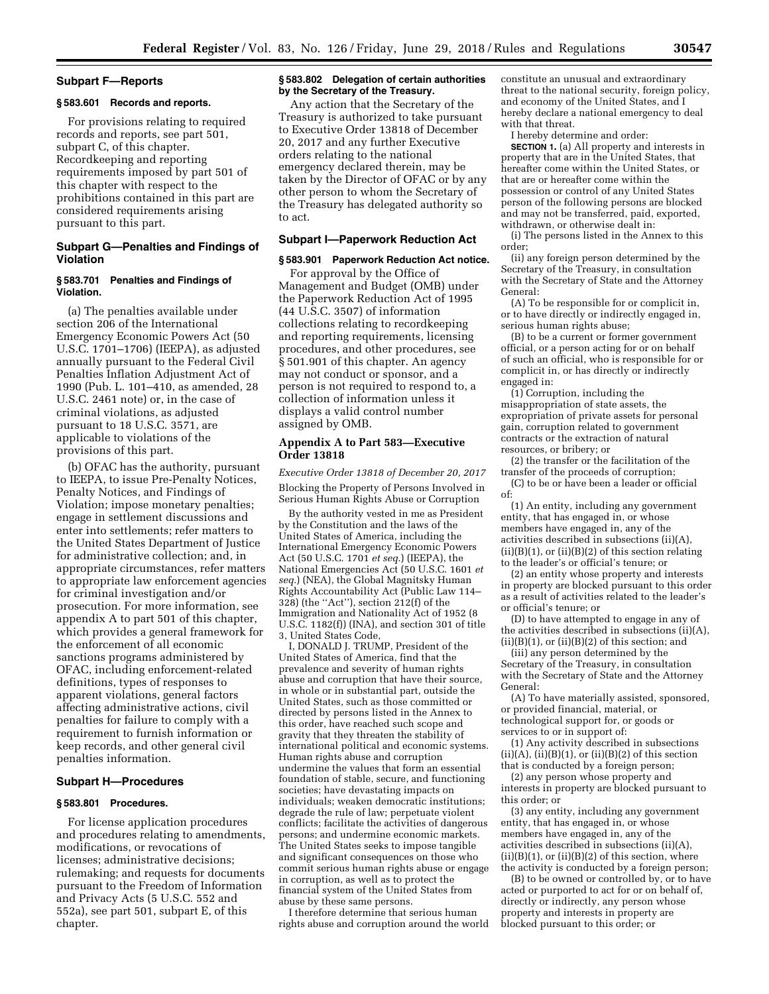#### **Subpart F—Reports**

#### **§ 583.601 Records and reports.**

For provisions relating to required records and reports, see part 501, subpart C, of this chapter. Recordkeeping and reporting requirements imposed by part 501 of this chapter with respect to the prohibitions contained in this part are considered requirements arising pursuant to this part.

# **Subpart G—Penalties and Findings of Violation**

## **§ 583.701 Penalties and Findings of Violation.**

(a) The penalties available under section 206 of the International Emergency Economic Powers Act (50 U.S.C. 1701–1706) (IEEPA), as adjusted annually pursuant to the Federal Civil Penalties Inflation Adjustment Act of 1990 (Pub. L. 101–410, as amended, 28 U.S.C. 2461 note) or, in the case of criminal violations, as adjusted pursuant to 18 U.S.C. 3571, are applicable to violations of the provisions of this part.

(b) OFAC has the authority, pursuant to IEEPA, to issue Pre-Penalty Notices, Penalty Notices, and Findings of Violation; impose monetary penalties; engage in settlement discussions and enter into settlements; refer matters to the United States Department of Justice for administrative collection; and, in appropriate circumstances, refer matters to appropriate law enforcement agencies for criminal investigation and/or prosecution. For more information, see appendix A to part 501 of this chapter, which provides a general framework for the enforcement of all economic sanctions programs administered by OFAC, including enforcement-related definitions, types of responses to apparent violations, general factors affecting administrative actions, civil penalties for failure to comply with a requirement to furnish information or keep records, and other general civil penalties information.

## **Subpart H—Procedures**

#### **§ 583.801 Procedures.**

For license application procedures and procedures relating to amendments, modifications, or revocations of licenses; administrative decisions; rulemaking; and requests for documents pursuant to the Freedom of Information and Privacy Acts (5 U.S.C. 552 and 552a), see part 501, subpart E, of this chapter.

## **§ 583.802 Delegation of certain authorities by the Secretary of the Treasury.**

Any action that the Secretary of the Treasury is authorized to take pursuant to Executive Order 13818 of December 20, 2017 and any further Executive orders relating to the national emergency declared therein, may be taken by the Director of OFAC or by any other person to whom the Secretary of the Treasury has delegated authority so to act.

# **Subpart I—Paperwork Reduction Act**

# **§ 583.901 Paperwork Reduction Act notice.**

For approval by the Office of Management and Budget (OMB) under the Paperwork Reduction Act of 1995 (44 U.S.C. 3507) of information collections relating to recordkeeping and reporting requirements, licensing procedures, and other procedures, see § 501.901 of this chapter. An agency may not conduct or sponsor, and a person is not required to respond to, a collection of information unless it displays a valid control number assigned by OMB.

## **Appendix A to Part 583—Executive Order 13818**

*Executive Order 13818 of December 20, 2017*  Blocking the Property of Persons Involved in Serious Human Rights Abuse or Corruption

By the authority vested in me as President by the Constitution and the laws of the United States of America, including the International Emergency Economic Powers Act (50 U.S.C. 1701 *et seq.*) (IEEPA), the National Emergencies Act (50 U.S.C. 1601 *et seq.*) (NEA), the Global Magnitsky Human Rights Accountability Act (Public Law 114– 328) (the ''Act''), section 212(f) of the Immigration and Nationality Act of 1952 (8 U.S.C. 1182(f)) (INA), and section 301 of title 3, United States Code,

I, DONALD J. TRUMP, President of the United States of America, find that the prevalence and severity of human rights abuse and corruption that have their source, in whole or in substantial part, outside the United States, such as those committed or directed by persons listed in the Annex to this order, have reached such scope and gravity that they threaten the stability of international political and economic systems. Human rights abuse and corruption undermine the values that form an essential foundation of stable, secure, and functioning societies; have devastating impacts on individuals; weaken democratic institutions; degrade the rule of law; perpetuate violent conflicts; facilitate the activities of dangerous persons; and undermine economic markets. The United States seeks to impose tangible and significant consequences on those who commit serious human rights abuse or engage in corruption, as well as to protect the financial system of the United States from abuse by these same persons.

I therefore determine that serious human rights abuse and corruption around the world constitute an unusual and extraordinary threat to the national security, foreign policy, and economy of the United States, and I hereby declare a national emergency to deal with that threat.

I hereby determine and order:

**SECTION 1.** (a) All property and interests in property that are in the United States, that hereafter come within the United States, or that are or hereafter come within the possession or control of any United States person of the following persons are blocked and may not be transferred, paid, exported, withdrawn, or otherwise dealt in:

(i) The persons listed in the Annex to this order;

(ii) any foreign person determined by the Secretary of the Treasury, in consultation with the Secretary of State and the Attorney General:

(A) To be responsible for or complicit in, or to have directly or indirectly engaged in, serious human rights abuse;

(B) to be a current or former government official, or a person acting for or on behalf of such an official, who is responsible for or complicit in, or has directly or indirectly engaged in:

(1) Corruption, including the misappropriation of state assets, the expropriation of private assets for personal gain, corruption related to government contracts or the extraction of natural resources, or bribery; or

(2) the transfer or the facilitation of the transfer of the proceeds of corruption;

(C) to be or have been a leader or official of:

(1) An entity, including any government entity, that has engaged in, or whose members have engaged in, any of the activities described in subsections (ii)(A),  $(ii)(B)(1)$ , or  $(ii)(B)(2)$  of this section relating to the leader's or official's tenure; or

(2) an entity whose property and interests in property are blocked pursuant to this order as a result of activities related to the leader's or official's tenure; or

(D) to have attempted to engage in any of the activities described in subsections (ii)(A),  $(ii)(B)(1)$ , or  $(ii)(B)(2)$  of this section; and

(iii) any person determined by the Secretary of the Treasury, in consultation with the Secretary of State and the Attorney General:

(A) To have materially assisted, sponsored, or provided financial, material, or technological support for, or goods or services to or in support of:

(1) Any activity described in subsections  $(ii)(A), (ii)(B)(1), or (ii)(B)(2) of this section$ that is conducted by a foreign person;

(2) any person whose property and interests in property are blocked pursuant to this order; or

(3) any entity, including any government entity, that has engaged in, or whose members have engaged in, any of the activities described in subsections (ii)(A),  $(ii)(B)(1)$ , or  $(ii)(B)(2)$  of this section, where the activity is conducted by a foreign person;

(B) to be owned or controlled by, or to have acted or purported to act for or on behalf of, directly or indirectly, any person whose property and interests in property are blocked pursuant to this order; or